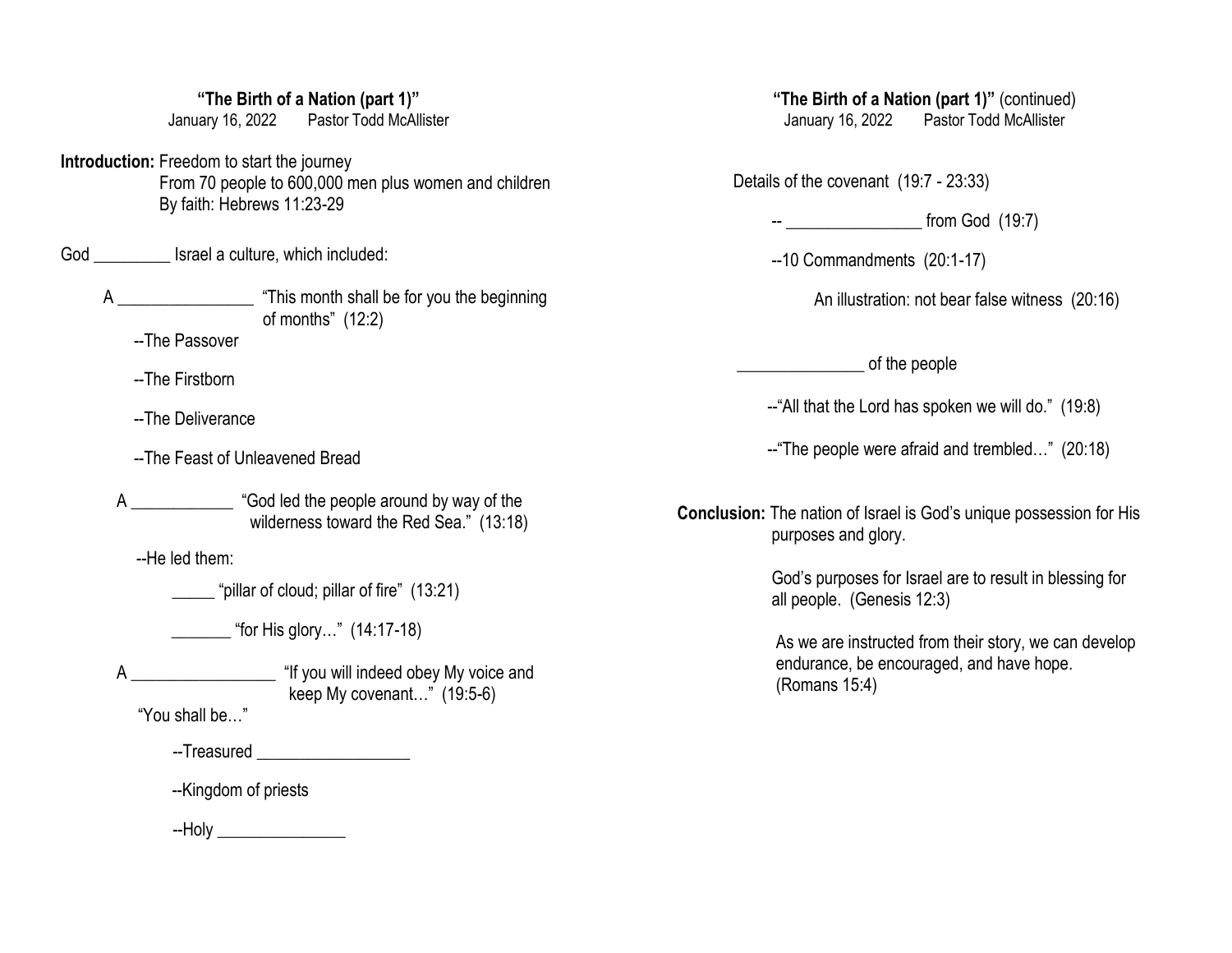## **"The Birth of a Nation (part 1)"**

January 16, 2022 Pastor Todd McAllister

**Introduction:** Freedom to start the journey From 70 people to 600,000 men plus women and children By faith: Hebrews 11:23-29

God \_\_\_\_\_\_\_\_\_\_\_ Israel a culture, which included:

 A \_\_\_\_\_\_\_\_\_\_\_\_\_\_\_\_ "This month shall be for you the beginning of months" (12:2)

--The Passover

--The Firstborn

--The Deliverance

--The Feast of Unleavened Bread

A \_\_\_\_\_\_\_\_\_\_\_\_ "God led the people around by way of the wilderness toward the Red Sea." (13:18)

--He led them:

"pillar of cloud; pillar of fire" (13:21)

 $\lq$  "for His glory…" (14:17-18)

A \_\_\_\_\_\_\_\_\_\_\_\_\_\_\_\_\_\_\_\_\_\_\_ "If you will indeed obey My voice and keep My covenant…" (19:5-6)

"You shall be…"

--Treasured **EXECUTE** 

--Kingdom of priests

--Holy \_\_\_\_\_\_\_\_\_\_\_\_\_\_\_

**"The Birth of a Nation (part 1)"** (continued) January 16, 2022 Pastor Todd McAllister

Details of the covenant (19:7 - 23:33)

-- \_\_\_\_\_\_\_\_\_\_\_\_\_\_\_\_ from God (19:7)

--10 Commandments (20:1-17)

An illustration: not bear false witness (20:16)

 $\bullet$  of the people

--"All that the Lord has spoken we will do." (19:8)

--"The people were afraid and trembled…" (20:18)

**Conclusion:** The nation of Israel is God's unique possession for His purposes and glory.

> God's purposes for Israel are to result in blessing for all people. (Genesis 12:3)

 As we are instructed from their story, we can develop endurance, be encouraged, and have hope. (Romans 15:4)